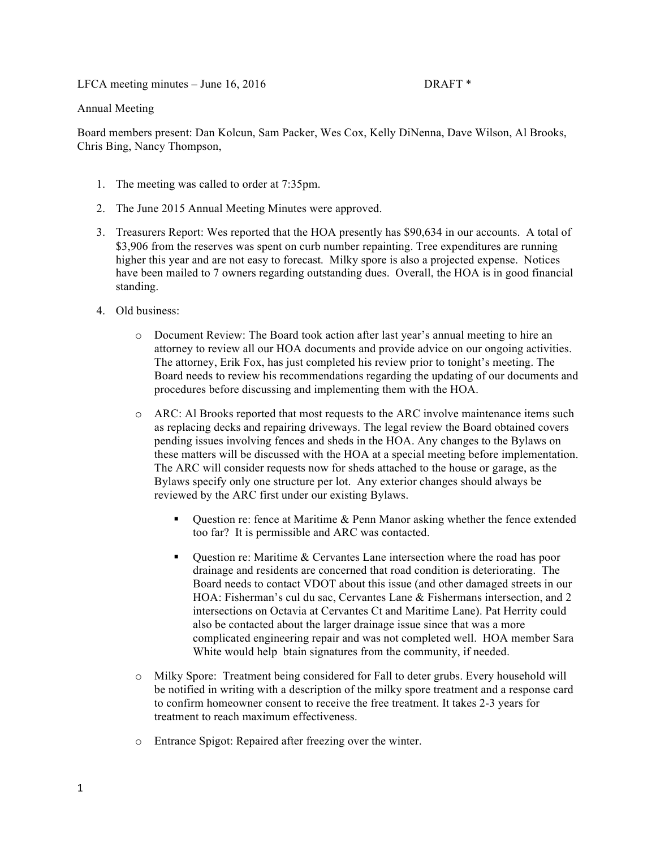LFCA meeting minutes – June 16, 2016 DRAFT \*

## Annual Meeting

Board members present: Dan Kolcun, Sam Packer, Wes Cox, Kelly DiNenna, Dave Wilson, Al Brooks, Chris Bing, Nancy Thompson,

- 1. The meeting was called to order at 7:35pm.
- 2. The June 2015 Annual Meeting Minutes were approved.
- 3. Treasurers Report: Wes reported that the HOA presently has \$90,634 in our accounts. A total of \$3,906 from the reserves was spent on curb number repainting. Tree expenditures are running higher this year and are not easy to forecast. Milky spore is also a projected expense. Notices have been mailed to 7 owners regarding outstanding dues. Overall, the HOA is in good financial standing.
- 4. Old business:
	- o Document Review: The Board took action after last year's annual meeting to hire an attorney to review all our HOA documents and provide advice on our ongoing activities. The attorney, Erik Fox, has just completed his review prior to tonight's meeting. The Board needs to review his recommendations regarding the updating of our documents and procedures before discussing and implementing them with the HOA.
	- o ARC: Al Brooks reported that most requests to the ARC involve maintenance items such as replacing decks and repairing driveways. The legal review the Board obtained covers pending issues involving fences and sheds in the HOA. Any changes to the Bylaws on these matters will be discussed with the HOA at a special meeting before implementation. The ARC will consider requests now for sheds attached to the house or garage, as the Bylaws specify only one structure per lot. Any exterior changes should always be reviewed by the ARC first under our existing Bylaws.
		- ! Question re: fence at Maritime & Penn Manor asking whether the fence extended too far? It is permissible and ARC was contacted.
		- ! Question re: Maritime & Cervantes Lane intersection where the road has poor drainage and residents are concerned that road condition is deteriorating. The Board needs to contact VDOT about this issue (and other damaged streets in our HOA: Fisherman's cul du sac, Cervantes Lane & Fishermans intersection, and 2 intersections on Octavia at Cervantes Ct and Maritime Lane). Pat Herrity could also be contacted about the larger drainage issue since that was a more complicated engineering repair and was not completed well. HOA member Sara White would help btain signatures from the community, if needed.
	- o Milky Spore: Treatment being considered for Fall to deter grubs. Every household will be notified in writing with a description of the milky spore treatment and a response card to confirm homeowner consent to receive the free treatment. It takes 2-3 years for treatment to reach maximum effectiveness.
	- o Entrance Spigot: Repaired after freezing over the winter.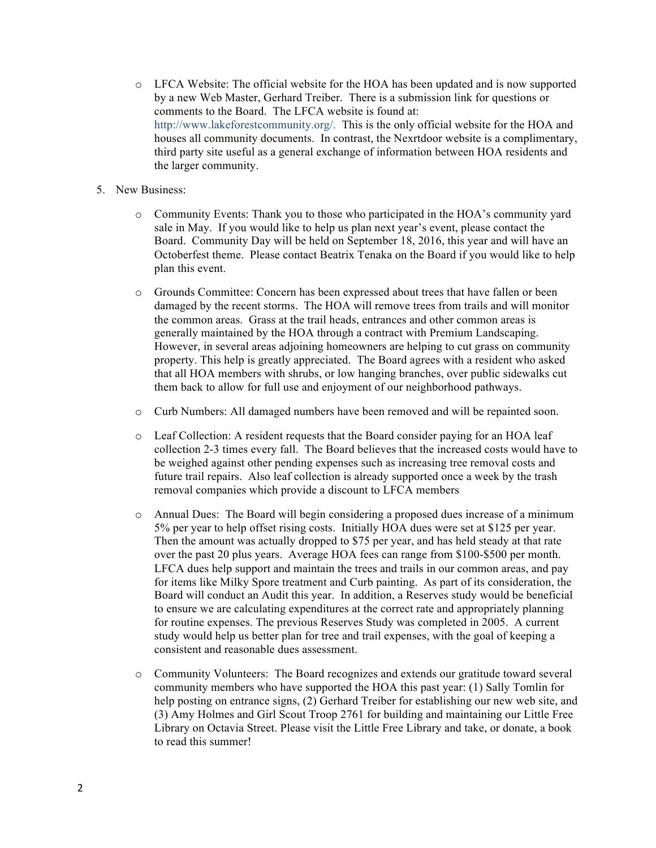- o LFCA Website: The official website for the HOA has been updated and is now supported by a new Web Master, Gerhard Treiber. There is a submission link for questions or comments to the Board. The LFCA website is found at: http://www.lakeforestcommunity.org/. This is the only official website for the HOA and houses all community documents. In contrast, the Nexrtdoor website is a complimentary, third party site useful as a general exchange of information between HOA residents and the larger community.
- 5. New Business:
	- o Community Events: Thank you to those who participated in the HOA's community yard sale in May. If you would like to help us plan next year's event, please contact the Board. Community Day will be held on September 18, 2016, this year and will have an Octoberfest theme. Please contact Beatrix Tenaka on the Board if you would like to help plan this event.
	- o Grounds Committee: Concern has been expressed about trees that have fallen or been damaged by the recent storms. The HOA will remove trees from trails and will monitor the common areas. Grass at the trail heads, entrances and other common areas is generally maintained by the HOA through a contract with Premium Landscaping. However, in several areas adjoining homeowners are helping to cut grass on community property. This help is greatly appreciated. The Board agrees with a resident who asked that all HOA members with shrubs, or low hanging branches, over public sidewalks cut them back to allow for full use and enjoyment of our neighborhood pathways.
	- o Curb Numbers: All damaged numbers have been removed and will be repainted soon.
	- o Leaf Collection: A resident requests that the Board consider paying for an HOA leaf collection 2-3 times every fall. The Board believes that the increased costs would have to be weighed against other pending expenses such as increasing tree removal costs and future trail repairs. Also leaf collection is already supported once a week by the trash removal companies which provide a discount to LFCA members
	- o Annual Dues: The Board will begin considering a proposed dues increase of a minimum 5% per year to help offset rising costs. Initially HOA dues were set at \$125 per year. Then the amount was actually dropped to \$75 per year, and has held steady at that rate over the past 20 plus years. Average HOA fees can range from \$100-\$500 per month. LFCA dues help support and maintain the trees and trails in our common areas, and pay for items like Milky Spore treatment and Curb painting. As part of its consideration, the Board will conduct an Audit this year. In addition, a Reserves study would be beneficial to ensure we are calculating expenditures at the correct rate and appropriately planning for routine expenses. The previous Reserves Study was completed in 2005. A current study would help us better plan for tree and trail expenses, with the goal of keeping a consistent and reasonable dues assessment.
	- o Community Volunteers: The Board recognizes and extends our gratitude toward several community members who have supported the HOA this past year: (1) Sally Tomlin for help posting on entrance signs, (2) Gerhard Treiber for establishing our new web site, and (3) Amy Holmes and Girl Scout Troop 2761 for building and maintaining our Little Free Library on Octavia Street. Please visit the Little Free Library and take, or donate, a book to read this summer!